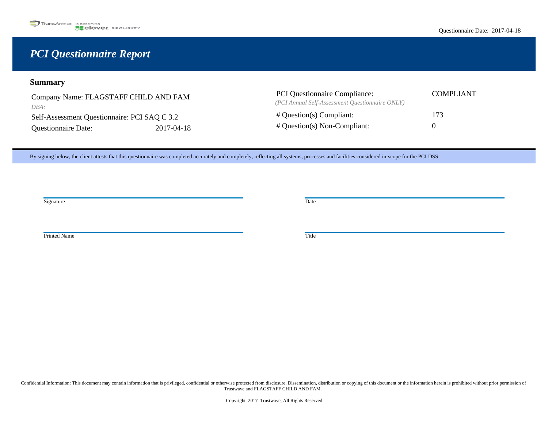# *PCI Questionnaire Report*

# **Summary**

Company Name: FLAGSTAFF CHILD AND FAM *DBA:* 

Self-Assessment Questionnaire: PCI SAQ C 3.2 Questionnaire Date: 2017-04-18

| <b>PCI</b> Questionnaire Compliance:            | COMPLIANT    |
|-------------------------------------------------|--------------|
| (PCI Annual Self-Assessment Ouestionnaire ONLY) |              |
| $\#$ Question(s) Compliant:                     | 173          |
| $\#$ Question(s) Non-Compliant:                 | $\mathbf{U}$ |

By signing below, the client attests that this questionnaire was completed accurately and completely, reflecting all systems, processes and facilities considered in-scope for the PCI DSS.

Signature Date **Date** Development of the *Date* Date of the *Date* Date of the *Date* Date of the *Date* Date of the *Date* of the *Date* of the *Date* of the *Date* of the *Date* of the *Date* of the *Date* of the *Date*

Printed Name Title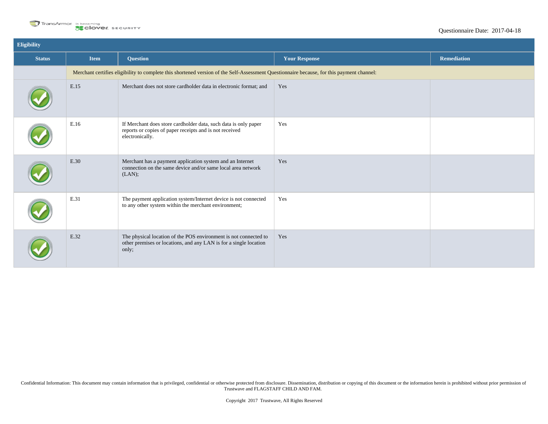

| Eligibility   |             |                                                                                                                                                |                      |                    |
|---------------|-------------|------------------------------------------------------------------------------------------------------------------------------------------------|----------------------|--------------------|
| <b>Status</b> | <b>Item</b> | <b>Question</b>                                                                                                                                | <b>Your Response</b> | <b>Remediation</b> |
|               |             | Merchant certifies eligibility to complete this shortened version of the Self-Assessment Questionnaire because, for this payment channel:      |                      |                    |
|               | E.15        | Merchant does not store cardholder data in electronic format; and                                                                              | Yes                  |                    |
|               | E.16        | If Merchant does store cardholder data, such data is only paper<br>reports or copies of paper receipts and is not received<br>electronically.  | Yes                  |                    |
|               | E.30        | Merchant has a payment application system and an Internet<br>connection on the same device and/or same local area network<br>(LAN);            | Yes                  |                    |
|               | E.31        | The payment application system/Internet device is not connected<br>to any other system within the merchant environment;                        | Yes                  |                    |
|               | E.32        | The physical location of the POS environment is not connected to<br>other premises or locations, and any LAN is for a single location<br>only; | Yes                  |                    |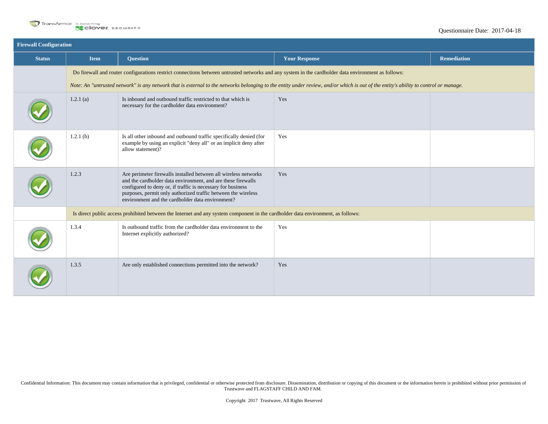

| <b>Firewall Configuration</b> |             |                                                                                                                                                                                                                                                                                                                     |                                                                                                                                                                                      |                    |
|-------------------------------|-------------|---------------------------------------------------------------------------------------------------------------------------------------------------------------------------------------------------------------------------------------------------------------------------------------------------------------------|--------------------------------------------------------------------------------------------------------------------------------------------------------------------------------------|--------------------|
| <b>Status</b>                 | <b>Item</b> | <b>Question</b>                                                                                                                                                                                                                                                                                                     | <b>Your Response</b>                                                                                                                                                                 | <b>Remediation</b> |
|                               |             | Do firewall and router configurations restrict connections between untrusted networks and any system in the cardholder data environment as follows:                                                                                                                                                                 |                                                                                                                                                                                      |                    |
|                               |             |                                                                                                                                                                                                                                                                                                                     | Note: An "untrusted network" is any network that is external to the networks belonging to the entity under review, and/or which is out of the entity's ability to control or manage. |                    |
|                               | $1.2.1$ (a) | Is inbound and outbound traffic restricted to that which is<br>necessary for the cardholder data environment?                                                                                                                                                                                                       | Yes                                                                                                                                                                                  |                    |
|                               | 1.2.1(b)    | Is all other inbound and outbound traffic specifically denied (for<br>example by using an explicit "deny all" or an implicit deny after<br>allow statement)?                                                                                                                                                        | Yes                                                                                                                                                                                  |                    |
|                               | 1.2.3       | Are perimeter firewalls installed between all wireless networks<br>and the cardholder data environment, and are these firewalls<br>configured to deny or, if traffic is necessary for business<br>purposes, permit only authorized traffic between the wireless<br>environment and the cardholder data environment? | Yes                                                                                                                                                                                  |                    |
|                               |             | Is direct public access prohibited between the Internet and any system component in the cardholder data environment, as follows:                                                                                                                                                                                    |                                                                                                                                                                                      |                    |
|                               | 1.3.4       | Is outbound traffic from the cardholder data environment to the<br>Internet explicitly authorized?                                                                                                                                                                                                                  | Yes                                                                                                                                                                                  |                    |
|                               | 1.3.5       | Are only established connections permitted into the network?                                                                                                                                                                                                                                                        | Yes                                                                                                                                                                                  |                    |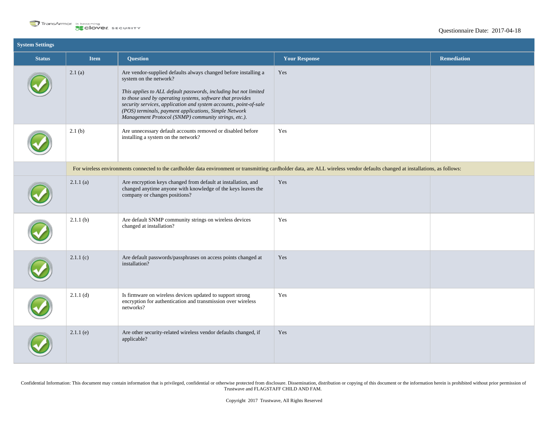

| <b>System Settings</b> |             |                                                                                                                                                                                                                                                                                                                                                                                                                   |                                                                                                                                                                                |                    |
|------------------------|-------------|-------------------------------------------------------------------------------------------------------------------------------------------------------------------------------------------------------------------------------------------------------------------------------------------------------------------------------------------------------------------------------------------------------------------|--------------------------------------------------------------------------------------------------------------------------------------------------------------------------------|--------------------|
| <b>Status</b>          | <b>Item</b> | <b>Question</b>                                                                                                                                                                                                                                                                                                                                                                                                   | <b>Your Response</b>                                                                                                                                                           | <b>Remediation</b> |
|                        | 2.1(a)      | Are vendor-supplied defaults always changed before installing a<br>system on the network?<br>This applies to ALL default passwords, including but not limited<br>to those used by operating systems, software that provides<br>security services, application and system accounts, point-of-sale<br>(POS) terminals, payment applications, Simple Network<br>Management Protocol (SNMP) community strings, etc.). | Yes                                                                                                                                                                            |                    |
|                        | 2.1(b)      | Are unnecessary default accounts removed or disabled before<br>installing a system on the network?                                                                                                                                                                                                                                                                                                                | Yes                                                                                                                                                                            |                    |
|                        |             |                                                                                                                                                                                                                                                                                                                                                                                                                   | For wireless environments connected to the cardholder data environment or transmitting cardholder data, are ALL wireless vendor defaults changed at installations, as follows: |                    |
|                        | 2.1.1(a)    | Are encryption keys changed from default at installation, and<br>changed anytime anyone with knowledge of the keys leaves the<br>company or changes positions?                                                                                                                                                                                                                                                    | Yes                                                                                                                                                                            |                    |
|                        | 2.1.1(b)    | Are default SNMP community strings on wireless devices<br>changed at installation?                                                                                                                                                                                                                                                                                                                                | Yes                                                                                                                                                                            |                    |
|                        | 2.1.1(c)    | Are default passwords/passphrases on access points changed at<br>installation?                                                                                                                                                                                                                                                                                                                                    | Yes                                                                                                                                                                            |                    |
|                        | 2.1.1(d)    | Is firmware on wireless devices updated to support strong<br>encryption for authentication and transmission over wireless<br>networks?                                                                                                                                                                                                                                                                            | Yes                                                                                                                                                                            |                    |
|                        | $2.1.1$ (e) | Are other security-related wireless vendor defaults changed, if<br>applicable?                                                                                                                                                                                                                                                                                                                                    | Yes                                                                                                                                                                            |                    |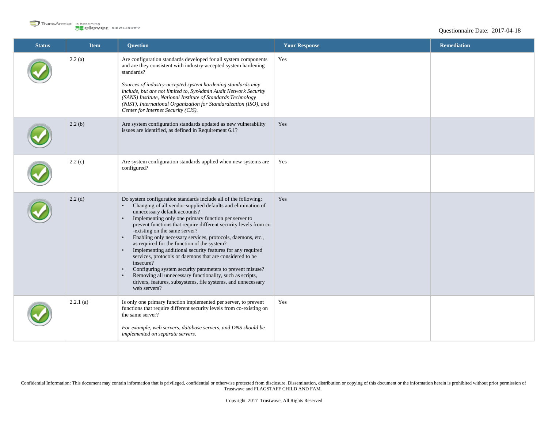

| <b>Status</b> | <b>Item</b> | <b>Question</b>                                                                                                                                                                                                                                                                                                                                                                                                                                                                                                                                                                                                                                                                                                                                                                                                                                             | <b>Your Response</b> | <b>Remediation</b> |
|---------------|-------------|-------------------------------------------------------------------------------------------------------------------------------------------------------------------------------------------------------------------------------------------------------------------------------------------------------------------------------------------------------------------------------------------------------------------------------------------------------------------------------------------------------------------------------------------------------------------------------------------------------------------------------------------------------------------------------------------------------------------------------------------------------------------------------------------------------------------------------------------------------------|----------------------|--------------------|
|               | 2.2(a)      | Are configuration standards developed for all system components<br>and are they consistent with industry-accepted system hardening<br>standards?<br>Sources of industry-accepted system hardening standards may<br>include, but are not limited to, SysAdmin Audit Network Security<br>(SANS) Institute, National Institute of Standards Technology<br>(NIST), International Organization for Standardization (ISO), and<br>Center for Internet Security (CIS).                                                                                                                                                                                                                                                                                                                                                                                             | Yes                  |                    |
|               | 2.2(b)      | Are system configuration standards updated as new vulnerability<br>issues are identified, as defined in Requirement 6.1?                                                                                                                                                                                                                                                                                                                                                                                                                                                                                                                                                                                                                                                                                                                                    | Yes                  |                    |
|               | 2.2(c)      | Are system configuration standards applied when new systems are<br>configured?                                                                                                                                                                                                                                                                                                                                                                                                                                                                                                                                                                                                                                                                                                                                                                              | Yes                  |                    |
|               | $2.2$ (d)   | Do system configuration standards include all of the following:<br>Changing of all vendor-supplied defaults and elimination of<br>$\bullet$<br>unnecessary default accounts?<br>Implementing only one primary function per server to<br>$\bullet$<br>prevent functions that require different security levels from co<br>-existing on the same server?<br>Enabling only necessary services, protocols, daemons, etc.,<br>$\bullet$<br>as required for the function of the system?<br>Implementing additional security features for any required<br>$\bullet$<br>services, protocols or daemons that are considered to be<br>insecure?<br>Configuring system security parameters to prevent misuse?<br>$\bullet$<br>Removing all unnecessary functionality, such as scripts,<br>drivers, features, subsystems, file systems, and unnecessary<br>web servers? | Yes                  |                    |
|               | 2.2.1(a)    | Is only one primary function implemented per server, to prevent<br>functions that require different security levels from co-existing on<br>the same server?<br>For example, web servers, database servers, and DNS should be<br>implemented on separate servers.                                                                                                                                                                                                                                                                                                                                                                                                                                                                                                                                                                                            | Yes                  |                    |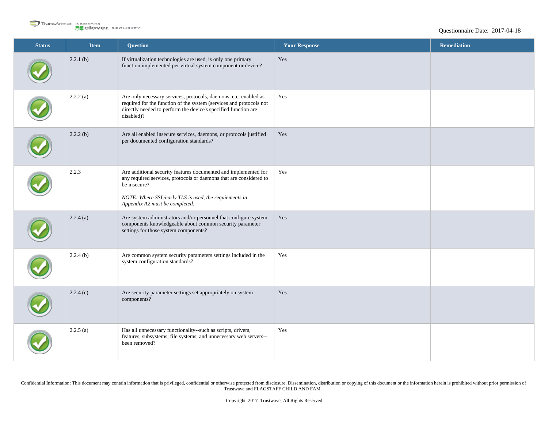

| <b>Status</b> | <b>Item</b> | <b>Question</b>                                                                                                                                                                                                                                  | <b>Your Response</b> | Remediation |
|---------------|-------------|--------------------------------------------------------------------------------------------------------------------------------------------------------------------------------------------------------------------------------------------------|----------------------|-------------|
|               | 2.2.1(b)    | If virtualization technologies are used, is only one primary<br>function implemented per virtual system component or device?                                                                                                                     | Yes                  |             |
|               | 2.2.2(a)    | Are only necessary services, protocols, daemons, etc. enabled as<br>required for the function of the system (services and protocols not<br>directly needed to perform the device's specified function are<br>disabled)?                          | Yes                  |             |
|               | 2.2.2(b)    | Are all enabled insecure services, daemons, or protocols justified<br>per documented configuration standards?                                                                                                                                    | Yes                  |             |
|               | 2.2.3       | Are additional security features documented and implemented for<br>any required services, protocols or daemons that are considered to<br>be insecure?<br>NOTE: Where SSL/early TLS is used, the requiements in<br>Appendix A2 must be completed. | Yes                  |             |
|               | 2.2.4(a)    | Are system administrators and/or personnel that configure system<br>components knowledgeable about common security parameter<br>settings for those system components?                                                                            | Yes                  |             |
|               | 2.2.4(b)    | Are common system security parameters settings included in the<br>system configuration standards?                                                                                                                                                | Yes                  |             |
|               | 2.2.4(c)    | Are security parameter settings set appropriately on system<br>components?                                                                                                                                                                       | Yes                  |             |
|               | 2.2.5(a)    | Has all unnecessary functionality--such as scripts, drivers,<br>features, subsystems, file systems, and unnecessary web servers--<br>been removed?                                                                                               | Yes                  |             |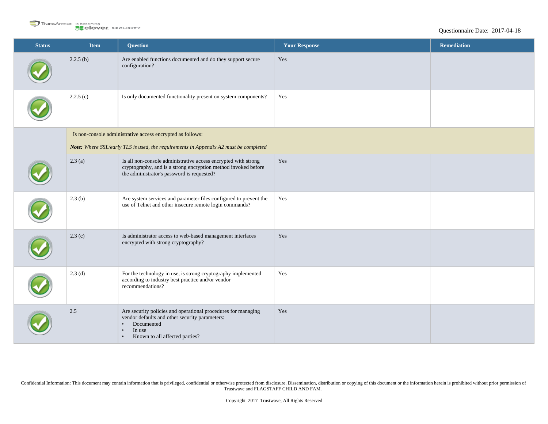

| <b>Status</b> | Item     | <b>Question</b>                                                                                                                                                                                                  | <b>Your Response</b> | <b>Remediation</b> |
|---------------|----------|------------------------------------------------------------------------------------------------------------------------------------------------------------------------------------------------------------------|----------------------|--------------------|
|               | 2.2.5(b) | Are enabled functions documented and do they support secure<br>configuration?                                                                                                                                    | Yes                  |                    |
|               | 2.2.5(c) | Is only documented functionality present on system components?                                                                                                                                                   | Yes                  |                    |
|               |          | Is non-console administrative access encrypted as follows:                                                                                                                                                       |                      |                    |
|               |          | Note: Where SSL/early TLS is used, the requirements in Appendix A2 must be completed                                                                                                                             |                      |                    |
|               | 2.3(a)   | Is all non-console administrative access encrypted with strong<br>cryptography, and is a strong encryption method invoked before<br>the administrator's password is requested?                                   | Yes                  |                    |
|               | 2.3(b)   | Are system services and parameter files configured to prevent the<br>use of Telnet and other insecure remote login commands?                                                                                     | Yes                  |                    |
|               | 2.3(c)   | Is administrator access to web-based management interfaces<br>encrypted with strong cryptography?                                                                                                                | Yes                  |                    |
|               | 2.3(d)   | For the technology in use, is strong cryptography implemented<br>according to industry best practice and/or vendor<br>recommendations?                                                                           | Yes                  |                    |
|               | 2.5      | Are security policies and operational procedures for managing<br>vendor defaults and other security parameters:<br>Documented<br>$\bullet$<br>In use<br>$\bullet$<br>Known to all affected parties?<br>$\bullet$ | Yes                  |                    |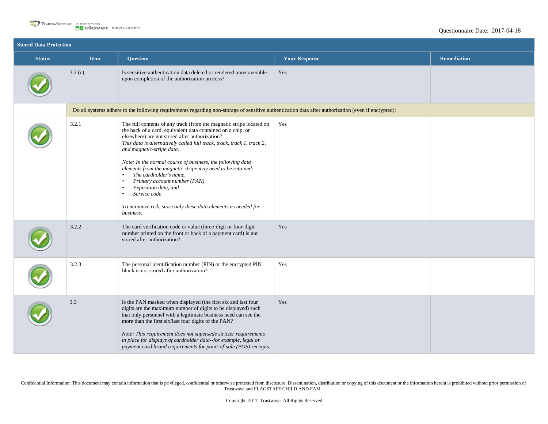

| <b>Stored Data Protection</b> |                                                                                                                                                     |                                                                                                                                                                                                                                                                                                                                                                                                                                                                                                                                                                                                                                                               |                      |                    |  |
|-------------------------------|-----------------------------------------------------------------------------------------------------------------------------------------------------|---------------------------------------------------------------------------------------------------------------------------------------------------------------------------------------------------------------------------------------------------------------------------------------------------------------------------------------------------------------------------------------------------------------------------------------------------------------------------------------------------------------------------------------------------------------------------------------------------------------------------------------------------------------|----------------------|--------------------|--|
| <b>Status</b>                 | <b>Item</b>                                                                                                                                         | <b>Question</b>                                                                                                                                                                                                                                                                                                                                                                                                                                                                                                                                                                                                                                               | <b>Your Response</b> | <b>Remediation</b> |  |
|                               | 3.2(c)                                                                                                                                              | Is sensitive authentication data deleted or rendered unrecoverable<br>upon completion of the authorization process?                                                                                                                                                                                                                                                                                                                                                                                                                                                                                                                                           | Yes                  |                    |  |
|                               | Do all systems adhere to the following requirements regarding non-storage of sensitive authentication data after authorization (even if encrypted): |                                                                                                                                                                                                                                                                                                                                                                                                                                                                                                                                                                                                                                                               |                      |                    |  |
|                               | 3.2.1                                                                                                                                               | The full contents of any track (from the magnetic stripe located on<br>the back of a card, equivalent data contained on a chip, or<br>elsewhere) are not stored after authorization?<br>This data is alternatively called full track, track, track 1, track 2,<br>and magnetic-stripe data.<br>Note: In the normal course of business, the following data<br>elements from the magnetic stripe may need to be retained:<br>The cardholder's name,<br>$\bullet$<br>Primary account number (PAN),<br>$\bullet$<br>Expiration date, and<br>$\bullet$<br>Service code<br>$\bullet$<br>To minimize risk, store only these data elements as needed for<br>business. | Yes                  |                    |  |
|                               | 3.2.2                                                                                                                                               | The card verification code or value (three-digit or four-digit<br>number printed on the front or back of a payment card) is not<br>stored after authorization?                                                                                                                                                                                                                                                                                                                                                                                                                                                                                                | Yes                  |                    |  |
|                               | 3.2.3                                                                                                                                               | The personal identification number (PIN) or the encrypted PIN<br>block is not stored after authorization?                                                                                                                                                                                                                                                                                                                                                                                                                                                                                                                                                     | Yes                  |                    |  |
|                               | 3.3                                                                                                                                                 | Is the PAN masked when displayed (the first six and last four<br>digits are the maximum number of digits to be displayed) such<br>that only personnel with a legitimate business need can see the<br>more than the first six/last four digits of the PAN?<br>Note: This requirement does not supersede stricter requirements<br>in place for displays of cardholder data--for example, legal or<br>payment card brand requirements for point-of-sale (POS) receipts.                                                                                                                                                                                          | Yes                  |                    |  |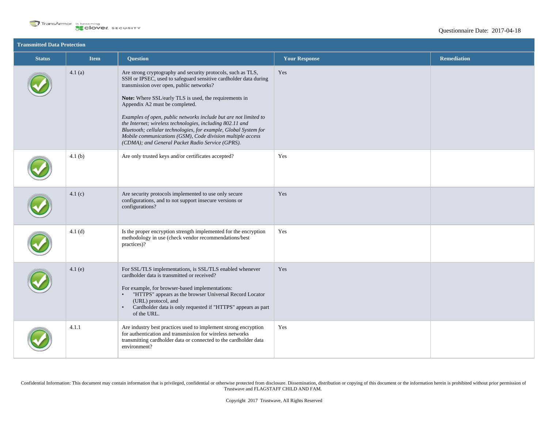

| <b>Transmitted Data Protection</b> |             |                                                                                                                                                                                                                                                                                                                                                                                                                                                                                                                                                                                                 |                      |                    |
|------------------------------------|-------------|-------------------------------------------------------------------------------------------------------------------------------------------------------------------------------------------------------------------------------------------------------------------------------------------------------------------------------------------------------------------------------------------------------------------------------------------------------------------------------------------------------------------------------------------------------------------------------------------------|----------------------|--------------------|
| <b>Status</b>                      | <b>Item</b> | <b>Question</b>                                                                                                                                                                                                                                                                                                                                                                                                                                                                                                                                                                                 | <b>Your Response</b> | <b>Remediation</b> |
|                                    | 4.1(a)      | Are strong cryptography and security protocols, such as TLS,<br>SSH or IPSEC, used to safeguard sensitive cardholder data during<br>transmission over open, public networks?<br>Note: Where SSL/early TLS is used, the requirements in<br>Appendix A2 must be completed.<br>Examples of open, public networks include but are not limited to<br>the Internet; wireless technologies, including 802.11 and<br>Bluetooth; cellular technologies, for example, Global System for<br>Mobile communications (GSM), Code division multiple access<br>(CDMA); and General Packet Radio Service (GPRS). | Yes                  |                    |
|                                    | 4.1(b)      | Are only trusted keys and/or certificates accepted?                                                                                                                                                                                                                                                                                                                                                                                                                                                                                                                                             | Yes                  |                    |
|                                    | 4.1(c)      | Are security protocols implemented to use only secure<br>configurations, and to not support insecure versions or<br>configurations?                                                                                                                                                                                                                                                                                                                                                                                                                                                             | Yes                  |                    |
|                                    | 4.1(d)      | Is the proper encryption strength implemented for the encryption<br>methodology in use (check vendor recommendations/best<br>practices)?                                                                                                                                                                                                                                                                                                                                                                                                                                                        | Yes                  |                    |
|                                    | 4.1(e)      | For SSL/TLS implementations, is SSL/TLS enabled whenever<br>cardholder data is transmitted or received?<br>For example, for browser-based implementations:<br>"HTTPS" appears as the browser Universal Record Locator<br>$\bullet$<br>(URL) protocol, and<br>Cardholder data is only requested if "HTTPS" appears as part<br>$\bullet$<br>of the URL.                                                                                                                                                                                                                                           | Yes                  |                    |
|                                    | 4.1.1       | Are industry best practices used to implement strong encryption<br>for authentication and transmission for wireless networks<br>transmitting cardholder data or connected to the cardholder data<br>environment?                                                                                                                                                                                                                                                                                                                                                                                | Yes                  |                    |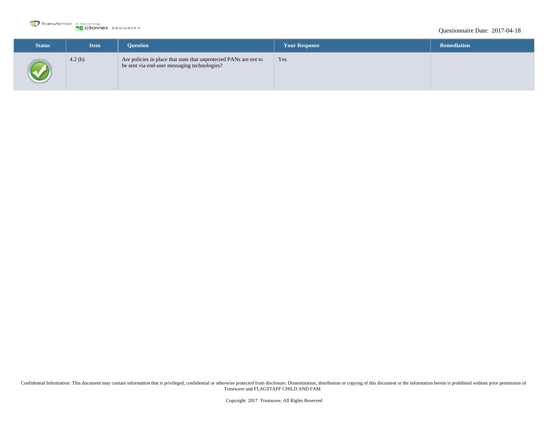

## Questionnaire Date: 2017-04-18

| <b>Status</b> | <b>Item</b> | <b>Ouestion</b>                                                                                                   | <b>Your Response</b> | <b>Remediation</b> |
|---------------|-------------|-------------------------------------------------------------------------------------------------------------------|----------------------|--------------------|
|               | 4.2(b)      | Are policies in place that state that unprotected PANs are not to<br>be sent via end-user messaging technologies? | Yes                  |                    |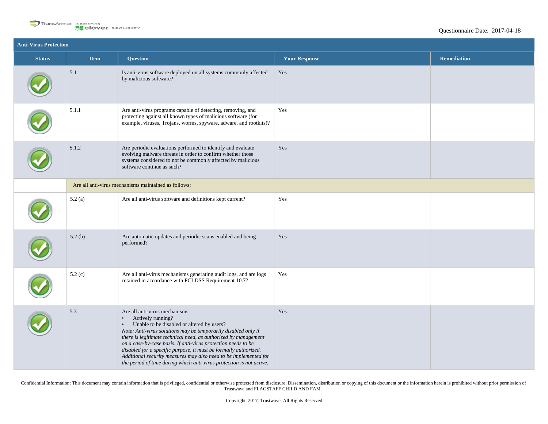

| <b>Anti-Virus Protection</b> |                                                      |                                                                                                                                                                                                                                                                                                                                                                                                                                                                                                                                                   |                      |                    |  |
|------------------------------|------------------------------------------------------|---------------------------------------------------------------------------------------------------------------------------------------------------------------------------------------------------------------------------------------------------------------------------------------------------------------------------------------------------------------------------------------------------------------------------------------------------------------------------------------------------------------------------------------------------|----------------------|--------------------|--|
| <b>Status</b>                | <b>Item</b>                                          | <b>Question</b>                                                                                                                                                                                                                                                                                                                                                                                                                                                                                                                                   | <b>Your Response</b> | <b>Remediation</b> |  |
|                              | 5.1                                                  | Is anti-virus software deployed on all systems commonly affected<br>by malicious software?                                                                                                                                                                                                                                                                                                                                                                                                                                                        | Yes                  |                    |  |
|                              | 5.1.1                                                | Are anti-virus programs capable of detecting, removing, and<br>protecting against all known types of malicious software (for<br>example, viruses, Trojans, worms, spyware, adware, and rootkits)?                                                                                                                                                                                                                                                                                                                                                 | Yes                  |                    |  |
|                              | 5.1.2                                                | Are periodic evaluations performed to identify and evaluate<br>evolving malware threats in order to confirm whether those<br>systems considered to not be commonly affected by malicious<br>software continue as such?                                                                                                                                                                                                                                                                                                                            | Yes                  |                    |  |
|                              | Are all anti-virus mechanisms maintained as follows: |                                                                                                                                                                                                                                                                                                                                                                                                                                                                                                                                                   |                      |                    |  |
|                              | 5.2(a)                                               | Are all anti-virus software and definitions kept current?                                                                                                                                                                                                                                                                                                                                                                                                                                                                                         | Yes                  |                    |  |
|                              | 5.2(b)                                               | Are automatic updates and periodic scans enabled and being<br>performed?                                                                                                                                                                                                                                                                                                                                                                                                                                                                          | Yes                  |                    |  |
|                              | 5.2(c)                                               | Are all anti-virus mechanisms generating audit logs, and are logs<br>retained in accordance with PCI DSS Requirement 10.7?                                                                                                                                                                                                                                                                                                                                                                                                                        | Yes                  |                    |  |
|                              | 5.3                                                  | Are all anti-virus mechanisms:<br>Actively running?<br>$\bullet$<br>Unable to be disabled or altered by users?<br>$\bullet$<br>Note: Anti-virus solutions may be temporarily disabled only if<br>there is legitimate technical need, as authorized by management<br>on a case-by-case basis. If anti-virus protection needs to be<br>disabled for a specific purpose, it must be formally authorized.<br>Additional security measures may also need to be implemented for<br>the period of time during which anti-virus protection is not active. | Yes                  |                    |  |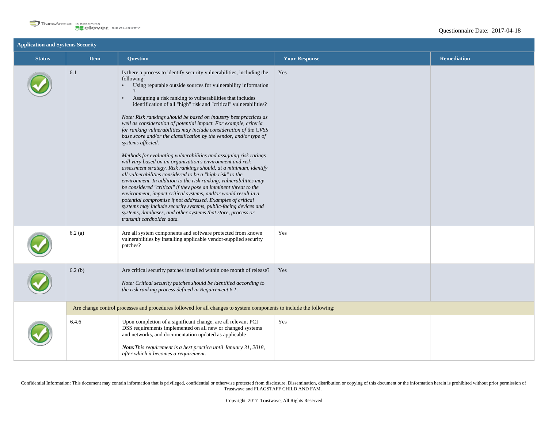

| <b>Application and Systems Security</b> |             |                                                                                                                                                                                                                                                                                                                                                                                                                                                                                                                                                                                                                                                                                                                                                                                                                                                                                                                                                                                                                                                                                                                                                                                                                                                                                                                                         |                      |                    |
|-----------------------------------------|-------------|-----------------------------------------------------------------------------------------------------------------------------------------------------------------------------------------------------------------------------------------------------------------------------------------------------------------------------------------------------------------------------------------------------------------------------------------------------------------------------------------------------------------------------------------------------------------------------------------------------------------------------------------------------------------------------------------------------------------------------------------------------------------------------------------------------------------------------------------------------------------------------------------------------------------------------------------------------------------------------------------------------------------------------------------------------------------------------------------------------------------------------------------------------------------------------------------------------------------------------------------------------------------------------------------------------------------------------------------|----------------------|--------------------|
| <b>Status</b>                           | <b>Item</b> | <b>Question</b>                                                                                                                                                                                                                                                                                                                                                                                                                                                                                                                                                                                                                                                                                                                                                                                                                                                                                                                                                                                                                                                                                                                                                                                                                                                                                                                         | <b>Your Response</b> | <b>Remediation</b> |
|                                         | 6.1         | Is there a process to identify security vulnerabilities, including the<br>following:<br>Using reputable outside sources for vulnerability information<br>$\bullet$<br>Assigning a risk ranking to vulnerabilities that includes<br>$\bullet$<br>identification of all "high" risk and "critical" vulnerabilities?<br>Note: Risk rankings should be based on industry best practices as<br>well as consideration of potential impact. For example, criteria<br>for ranking vulnerabilities may include consideration of the CVSS<br>base score and/or the classification by the vendor, and/or type of<br>systems affected.<br>Methods for evaluating vulnerabilities and assigning risk ratings<br>will vary based on an organization's environment and risk<br>assessment strategy. Risk rankings should, at a minimum, identify<br>all vulnerabilities considered to be a "high risk" to the<br>environment. In addition to the risk ranking, vulnerabilities may<br>be considered "critical" if they pose an imminent threat to the<br>environment, impact critical systems, and/or would result in a<br>potential compromise if not addressed. Examples of critical<br>systems may include security systems, public-facing devices and<br>systems, databases, and other systems that store, process or<br>transmit cardholder data. | Yes                  |                    |
|                                         | 6.2(a)      | Are all system components and software protected from known<br>vulnerabilities by installing applicable vendor-supplied security<br>patches?                                                                                                                                                                                                                                                                                                                                                                                                                                                                                                                                                                                                                                                                                                                                                                                                                                                                                                                                                                                                                                                                                                                                                                                            | Yes                  |                    |
|                                         | 6.2(b)      | Are critical security patches installed within one month of release?<br>Note: Critical security patches should be identified according to<br>the risk ranking process defined in Requirement 6.1.                                                                                                                                                                                                                                                                                                                                                                                                                                                                                                                                                                                                                                                                                                                                                                                                                                                                                                                                                                                                                                                                                                                                       | Yes                  |                    |
|                                         |             | Are change control processes and procedures followed for all changes to system components to include the following:                                                                                                                                                                                                                                                                                                                                                                                                                                                                                                                                                                                                                                                                                                                                                                                                                                                                                                                                                                                                                                                                                                                                                                                                                     |                      |                    |
|                                         | 6.4.6       | Upon completion of a significant change, are all relevant PCI<br>DSS requirements implemented on all new or changed systems<br>and networks, and documentation updated as applicable<br>Note: This requirement is a best practice until January 31, 2018,<br>after which it becomes a requirement.                                                                                                                                                                                                                                                                                                                                                                                                                                                                                                                                                                                                                                                                                                                                                                                                                                                                                                                                                                                                                                      | Yes                  |                    |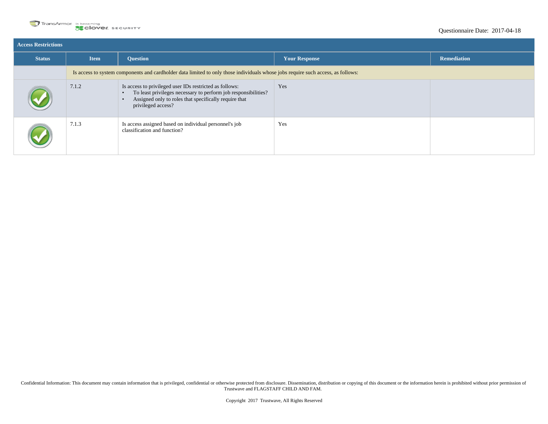

| <b>Access Restrictions</b> |                                                                                                                                  |                                                                                                                                                                                                          |                      |                    |  |
|----------------------------|----------------------------------------------------------------------------------------------------------------------------------|----------------------------------------------------------------------------------------------------------------------------------------------------------------------------------------------------------|----------------------|--------------------|--|
| <b>Status</b>              | <b>Item</b>                                                                                                                      | <b>Ouestion</b>                                                                                                                                                                                          | <b>Your Response</b> | <b>Remediation</b> |  |
|                            | Is access to system components and cardholder data limited to only those individuals whose jobs require such access, as follows: |                                                                                                                                                                                                          |                      |                    |  |
|                            | 7.1.2                                                                                                                            | Is access to privileged user IDs restricted as follows:<br>To least privileges necessary to perform job responsibilities?<br>Assigned only to roles that specifically require that<br>privileged access? | Yes                  |                    |  |
|                            | 7.1.3                                                                                                                            | Is access assigned based on individual personnel's job<br>classification and function?                                                                                                                   | Yes                  |                    |  |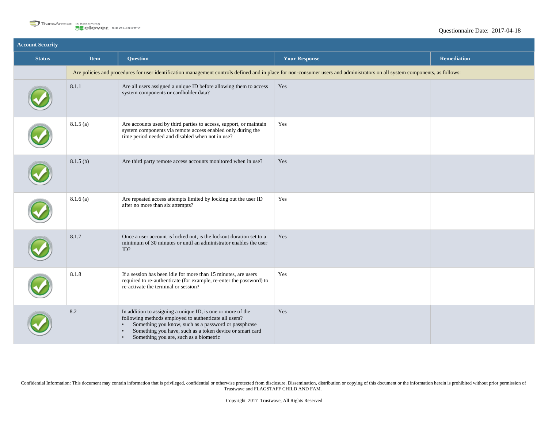

| <b>Account Security</b> |             |                                                                                                                                                                                                                                                                                                                           |                                                                                                                                                                              |                    |
|-------------------------|-------------|---------------------------------------------------------------------------------------------------------------------------------------------------------------------------------------------------------------------------------------------------------------------------------------------------------------------------|------------------------------------------------------------------------------------------------------------------------------------------------------------------------------|--------------------|
| <b>Status</b>           | <b>Item</b> | <b>Question</b>                                                                                                                                                                                                                                                                                                           | <b>Your Response</b>                                                                                                                                                         | <b>Remediation</b> |
|                         |             |                                                                                                                                                                                                                                                                                                                           | Are policies and procedures for user identification management controls defined and in place for non-consumer users and administrators on all system components, as follows: |                    |
|                         | 8.1.1       | Are all users assigned a unique ID before allowing them to access<br>system components or cardholder data?                                                                                                                                                                                                                | Yes                                                                                                                                                                          |                    |
|                         | 8.1.5(a)    | Are accounts used by third parties to access, support, or maintain<br>system components via remote access enabled only during the<br>time period needed and disabled when not in use?                                                                                                                                     | Yes                                                                                                                                                                          |                    |
|                         | 8.1.5(b)    | Are third party remote access accounts monitored when in use?                                                                                                                                                                                                                                                             | Yes                                                                                                                                                                          |                    |
|                         | 8.1.6(a)    | Are repeated access attempts limited by locking out the user ID<br>after no more than six attempts?                                                                                                                                                                                                                       | Yes                                                                                                                                                                          |                    |
|                         | 8.1.7       | Once a user account is locked out, is the lockout duration set to a<br>minimum of 30 minutes or until an administrator enables the user<br>ID?                                                                                                                                                                            | Yes                                                                                                                                                                          |                    |
|                         | 8.1.8       | If a session has been idle for more than 15 minutes, are users<br>required to re-authenticate (for example, re-enter the password) to<br>re-activate the terminal or session?                                                                                                                                             | Yes                                                                                                                                                                          |                    |
|                         | 8.2         | In addition to assigning a unique ID, is one or more of the<br>following methods employed to authenticate all users?<br>Something you know, such as a password or passphrase<br>$\bullet$<br>Something you have, such as a token device or smart card<br>$\bullet$<br>Something you are, such as a biometric<br>$\bullet$ | Yes                                                                                                                                                                          |                    |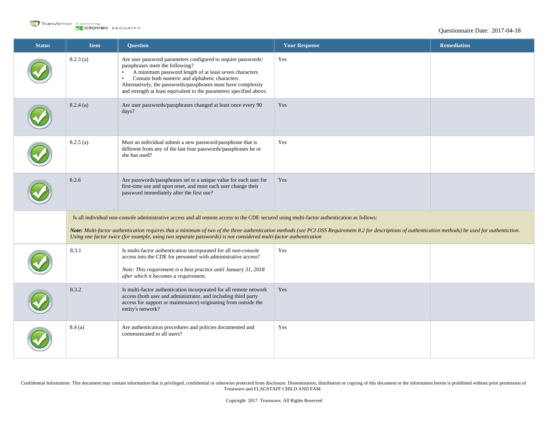

| <b>Status</b> | <b>Item</b>                                                                                                                                                                                                                                                                                                                  | <b>Question</b>                                                                                                                                                                                                                                                                                                                                                                | <b>Your Response</b> | <b>Remediation</b> |  |
|---------------|------------------------------------------------------------------------------------------------------------------------------------------------------------------------------------------------------------------------------------------------------------------------------------------------------------------------------|--------------------------------------------------------------------------------------------------------------------------------------------------------------------------------------------------------------------------------------------------------------------------------------------------------------------------------------------------------------------------------|----------------------|--------------------|--|
|               | 8.2.3(a)                                                                                                                                                                                                                                                                                                                     | Are user password parameters configured to require passwords/<br>passphrases meet the following?<br>A minimum password length of at least seven characters<br>$\bullet$<br>Contain both numeric and alphabetic characters<br>$\bullet$<br>Alternatively, the passwords/passphrases must have complexity<br>and strength at least equivalent to the parameters specified above. | Yes                  |                    |  |
|               | 8.2.4(a)                                                                                                                                                                                                                                                                                                                     | Are user passwords/passphrases changed at least once every 90<br>days?                                                                                                                                                                                                                                                                                                         | Yes                  |                    |  |
|               | 8.2.5(a)                                                                                                                                                                                                                                                                                                                     | Must an individual submit a new password/passphrase that is<br>different from any of the last four passwords/passphrases he or<br>she has used?                                                                                                                                                                                                                                | Yes                  |                    |  |
|               | 8.2.6                                                                                                                                                                                                                                                                                                                        | Are passwords/passphrases set to a unique value for each user for<br>first-time use and upon reset, and must each user change their<br>password immediately after the first use?                                                                                                                                                                                               | Yes                  |                    |  |
|               |                                                                                                                                                                                                                                                                                                                              | Is all individual non-console administrative access and all remote access to the CDE secured using multi-factor authentication as follows:                                                                                                                                                                                                                                     |                      |                    |  |
|               | Note: Multi-factor authentication requires that a minimum of two of the three authentication methods (see PCI DSS Requiremetn 8.2 for descriptions of authentication methods) be used for authentiction.<br>Using one factor twice (for example, using two separate passwords) is not considered multi-factor authentication |                                                                                                                                                                                                                                                                                                                                                                                |                      |                    |  |
|               | 8.3.1                                                                                                                                                                                                                                                                                                                        | Is multi-factor authentication incorporated for all non-console<br>access into the CDE for personnel with administrative access?<br>Note: This requirement is a best practice until January 31, 2018<br>after which it becomes a requirement.                                                                                                                                  | Yes                  |                    |  |
|               | 8.3.2                                                                                                                                                                                                                                                                                                                        | Is multi-factor authentication incorporated for all remote network<br>access (both user and administrator, and including third party<br>access for support or maintenance) originating from outside the<br>entity's network?                                                                                                                                                   | Yes                  |                    |  |
|               | 8.4(a)                                                                                                                                                                                                                                                                                                                       | Are authentication procedures and policies documented and<br>communicated to all users?                                                                                                                                                                                                                                                                                        | Yes                  |                    |  |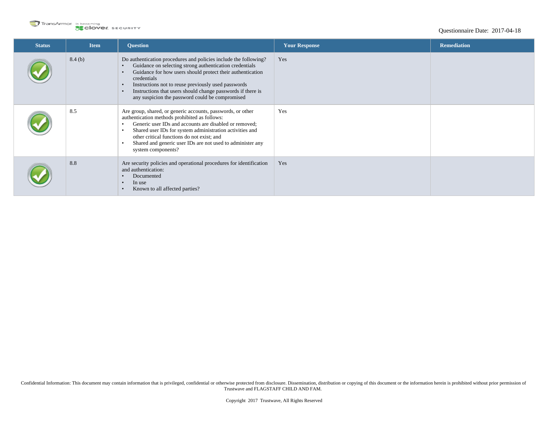

| <b>Status</b> | <b>Item</b> | <b>Question</b>                                                                                                                                                                                                                                                                                                                                                                                                                       | <b>Your Response</b> | <b>Remediation</b> |
|---------------|-------------|---------------------------------------------------------------------------------------------------------------------------------------------------------------------------------------------------------------------------------------------------------------------------------------------------------------------------------------------------------------------------------------------------------------------------------------|----------------------|--------------------|
|               | 8.4(b)      | Do authentication procedures and policies include the following?<br>Guidance on selecting strong authentication credentials<br>$\bullet$<br>Guidance for how users should protect their authentication<br>$\bullet$<br>credentials<br>Instructions not to reuse previously used passwords<br>$\bullet$<br>Instructions that users should change passwords if there is<br>$\bullet$<br>any suspicion the password could be compromised | Yes                  |                    |
|               | 8.5         | Are group, shared, or generic accounts, passwords, or other<br>authentication methods prohibited as follows:<br>Generic user IDs and accounts are disabled or removed;<br>$\bullet$<br>Shared user IDs for system administration activities and<br>$\bullet$<br>other critical functions do not exist; and<br>Shared and generic user IDs are not used to administer any<br>$\bullet$<br>system components?                           | Yes                  |                    |
|               | 8.8         | Are security policies and operational procedures for identification<br>and authentication:<br>Documented<br>$\bullet$<br>In use<br>$\bullet$<br>Known to all affected parties?<br>$\bullet$                                                                                                                                                                                                                                           | Yes                  |                    |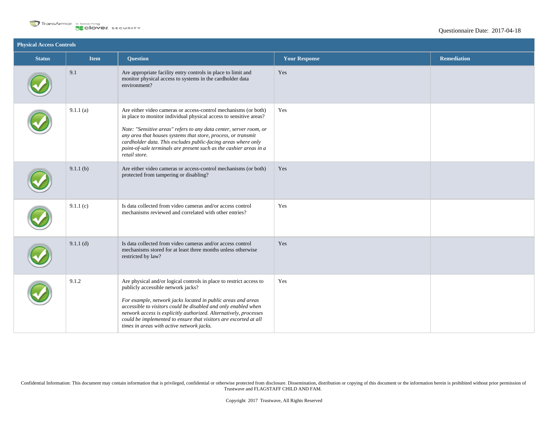

| <b>Physical Access Controls</b> |             |                                                                                                                                                                                                                                                                                                                                                                                                                                      |                      |                    |  |
|---------------------------------|-------------|--------------------------------------------------------------------------------------------------------------------------------------------------------------------------------------------------------------------------------------------------------------------------------------------------------------------------------------------------------------------------------------------------------------------------------------|----------------------|--------------------|--|
| <b>Status</b>                   | <b>Item</b> | <b>Question</b>                                                                                                                                                                                                                                                                                                                                                                                                                      | <b>Your Response</b> | <b>Remediation</b> |  |
|                                 | 9.1         | Are appropriate facility entry controls in place to limit and<br>monitor physical access to systems in the cardholder data<br>environment?                                                                                                                                                                                                                                                                                           | Yes                  |                    |  |
|                                 | 9.1.1(a)    | Are either video cameras or access-control mechanisms (or both)<br>in place to monitor individual physical access to sensitive areas?<br>Note: "Sensitive areas" refers to any data center, server room, or<br>any area that houses systems that store, process, or transmit<br>cardholder data. This excludes public-facing areas where only<br>point-of-sale terminals are present such as the cashier areas in a<br>retail store. | Yes                  |                    |  |
|                                 | 9.1.1(b)    | Are either video cameras or access-control mechanisms (or both)<br>protected from tampering or disabling?                                                                                                                                                                                                                                                                                                                            | Yes                  |                    |  |
|                                 | 9.1.1(c)    | Is data collected from video cameras and/or access control<br>mechanisms reviewed and correlated with other entries?                                                                                                                                                                                                                                                                                                                 | Yes                  |                    |  |
|                                 | $9.1.1$ (d) | Is data collected from video cameras and/or access control<br>mechanisms stored for at least three months unless otherwise<br>restricted by law?                                                                                                                                                                                                                                                                                     | Yes                  |                    |  |
|                                 | 9.1.2       | Are physical and/or logical controls in place to restrict access to<br>publicly accessible network jacks?<br>For example, network jacks located in public areas and areas<br>accessible to visitors could be disabled and only enabled when<br>network access is explicitly authorized. Alternatively, processes<br>could be implemented to ensure that visitors are escorted at all<br>times in areas with active network jacks.    | Yes                  |                    |  |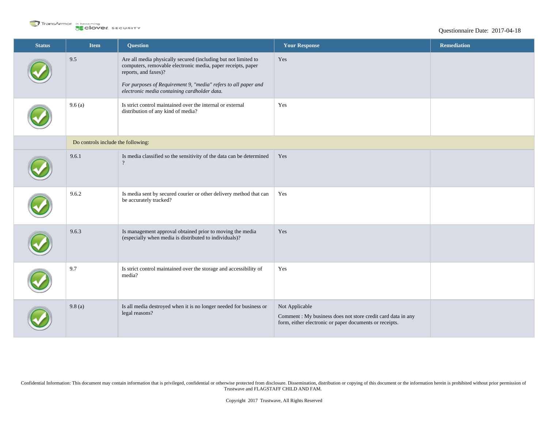

| <b>Status</b> | Item                               | <b>Question</b>                                                                                                                                        | <b>Your Response</b>                                                                                                                      | <b>Remediation</b> |
|---------------|------------------------------------|--------------------------------------------------------------------------------------------------------------------------------------------------------|-------------------------------------------------------------------------------------------------------------------------------------------|--------------------|
|               | 9.5                                | Are all media physically secured (including but not limited to<br>computers, removable electronic media, paper receipts, paper<br>reports, and faxes)? | Yes                                                                                                                                       |                    |
|               |                                    | For purposes of Requirement 9, "media" refers to all paper and<br>electronic media containing cardholder data.                                         |                                                                                                                                           |                    |
|               | 9.6(a)                             | Is strict control maintained over the internal or external<br>distribution of any kind of media?                                                       | Yes                                                                                                                                       |                    |
|               | Do controls include the following: |                                                                                                                                                        |                                                                                                                                           |                    |
|               | 9.6.1                              | Is media classified so the sensitivity of the data can be determined<br>$\gamma$                                                                       | Yes                                                                                                                                       |                    |
|               | 9.6.2                              | Is media sent by secured courier or other delivery method that can<br>be accurately tracked?                                                           | Yes                                                                                                                                       |                    |
|               | 9.6.3                              | Is management approval obtained prior to moving the media<br>(especially when media is distributed to individuals)?                                    | Yes                                                                                                                                       |                    |
|               | 9.7                                | Is strict control maintained over the storage and accessibility of<br>media?                                                                           | Yes                                                                                                                                       |                    |
|               | 9.8(a)                             | Is all media destroyed when it is no longer needed for business or<br>legal reasons?                                                                   | Not Applicable<br>Comment : My business does not store credit card data in any<br>form, either electronic or paper documents or receipts. |                    |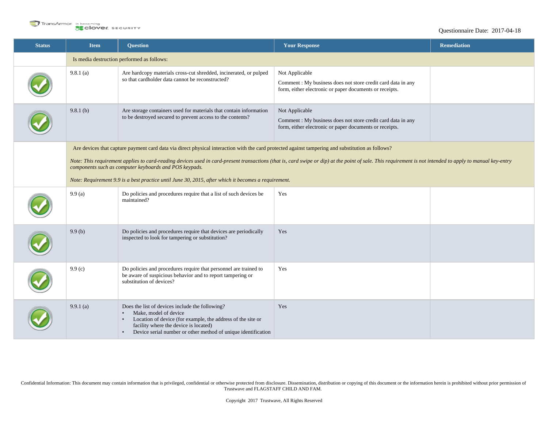

## Questionnaire Date: 2017-04-18

| <b>Status</b> | <b>Item</b>                                                                                                                                                                                                                                                                                                                                                                                                                                                                                                                     | <b>Question</b>                                                                                                                                                                                                                                                | <b>Your Response</b>                                                                                                                     | <b>Remediation</b> |  |
|---------------|---------------------------------------------------------------------------------------------------------------------------------------------------------------------------------------------------------------------------------------------------------------------------------------------------------------------------------------------------------------------------------------------------------------------------------------------------------------------------------------------------------------------------------|----------------------------------------------------------------------------------------------------------------------------------------------------------------------------------------------------------------------------------------------------------------|------------------------------------------------------------------------------------------------------------------------------------------|--------------------|--|
|               |                                                                                                                                                                                                                                                                                                                                                                                                                                                                                                                                 | Is media destruction performed as follows:                                                                                                                                                                                                                     |                                                                                                                                          |                    |  |
|               | 9.8.1(a)                                                                                                                                                                                                                                                                                                                                                                                                                                                                                                                        | Are hardcopy materials cross-cut shredded, incinerated, or pulped<br>so that cardholder data cannot be reconstructed?                                                                                                                                          | Not Applicable<br>Comment: My business does not store credit card data in any<br>form, either electronic or paper documents or receipts. |                    |  |
|               | 9.8.1(b)                                                                                                                                                                                                                                                                                                                                                                                                                                                                                                                        | Are storage containers used for materials that contain information<br>to be destroyed secured to prevent access to the contents?                                                                                                                               | Not Applicable<br>Comment: My business does not store credit card data in any<br>form, either electronic or paper documents or receipts. |                    |  |
|               | Are devices that capture payment card data via direct physical interaction with the card protected against tampering and substitution as follows?<br>Note: This requirement applies to card-reading devices used in card-present transactions (that is, card swipe or dip) at the point of sale. This requirement is not intended to apply to manual key-entry<br>components such as computer keyboards and POS keypads.<br>Note: Requirement 9.9 is a best practice until June 30, 2015, after which it becomes a requirement. |                                                                                                                                                                                                                                                                |                                                                                                                                          |                    |  |
|               | 9.9(a)                                                                                                                                                                                                                                                                                                                                                                                                                                                                                                                          | Do policies and procedures require that a list of such devices be<br>maintained?                                                                                                                                                                               | Yes                                                                                                                                      |                    |  |
|               | 9.9(b)                                                                                                                                                                                                                                                                                                                                                                                                                                                                                                                          | Do policies and procedures require that devices are periodically<br>inspected to look for tampering or substitution?                                                                                                                                           | Yes                                                                                                                                      |                    |  |
|               | 9.9(c)                                                                                                                                                                                                                                                                                                                                                                                                                                                                                                                          | Do policies and procedures require that personnel are trained to<br>be aware of suspicious behavior and to report tampering or<br>substitution of devices?                                                                                                     | Yes                                                                                                                                      |                    |  |
|               | 9.9.1(a)                                                                                                                                                                                                                                                                                                                                                                                                                                                                                                                        | Does the list of devices include the following?<br>Make, model of device<br>Location of device (for example, the address of the site or<br>$\bullet$<br>facility where the device is located)<br>Device serial number or other method of unique identification | Yes                                                                                                                                      |                    |  |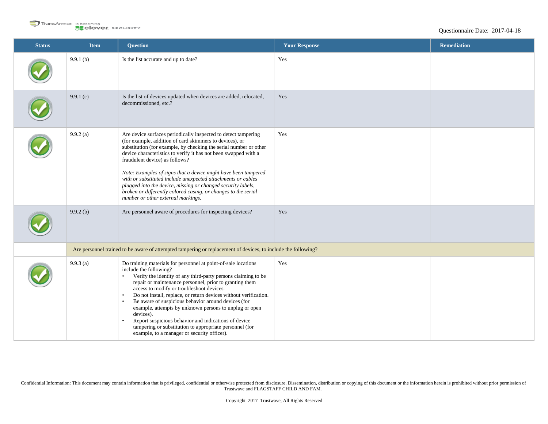

| <b>Status</b> | <b>Item</b>                                                                                                   | <b>Question</b>                                                                                                                                                                                                                                                                                                                                                                                                                                                                                                                                                                                                                                                                           | <b>Your Response</b> | <b>Remediation</b> |  |
|---------------|---------------------------------------------------------------------------------------------------------------|-------------------------------------------------------------------------------------------------------------------------------------------------------------------------------------------------------------------------------------------------------------------------------------------------------------------------------------------------------------------------------------------------------------------------------------------------------------------------------------------------------------------------------------------------------------------------------------------------------------------------------------------------------------------------------------------|----------------------|--------------------|--|
|               | 9.9.1(b)                                                                                                      | Is the list accurate and up to date?                                                                                                                                                                                                                                                                                                                                                                                                                                                                                                                                                                                                                                                      | Yes                  |                    |  |
|               | 9.9.1(c)                                                                                                      | Is the list of devices updated when devices are added, relocated,<br>decommissioned, etc.?                                                                                                                                                                                                                                                                                                                                                                                                                                                                                                                                                                                                | Yes                  |                    |  |
|               | $9.9.2$ (a)                                                                                                   | Are device surfaces periodically inspected to detect tampering<br>(for example, addition of card skimmers to devices), or<br>substitution (for example, by checking the serial number or other<br>device characteristics to verify it has not been swapped with a<br>fraudulent device) as follows?<br>Note: Examples of signs that a device might have been tampered<br>with or substituted include unexpected attachments or cables<br>plugged into the device, missing or changed security labels,<br>broken or differently colored casing, or changes to the serial<br>number or other external markings.                                                                             | Yes                  |                    |  |
|               | 9.9.2(b)                                                                                                      | Are personnel aware of procedures for inspecting devices?                                                                                                                                                                                                                                                                                                                                                                                                                                                                                                                                                                                                                                 | Yes                  |                    |  |
|               | Are personnel trained to be aware of attempted tampering or replacement of devices, to include the following? |                                                                                                                                                                                                                                                                                                                                                                                                                                                                                                                                                                                                                                                                                           |                      |                    |  |
|               | $9.9.3$ (a)                                                                                                   | Do training materials for personnel at point-of-sale locations<br>include the following?<br>Verify the identity of any third-party persons claiming to be<br>$\bullet$<br>repair or maintenance personnel, prior to granting them<br>access to modify or troubleshoot devices.<br>Do not install, replace, or return devices without verification.<br>$\bullet$<br>Be aware of suspicious behavior around devices (for<br>$\bullet$<br>example, attempts by unknown persons to unplug or open<br>devices).<br>Report suspicious behavior and indications of device<br>$\bullet$<br>tampering or substitution to appropriate personnel (for<br>example, to a manager or security officer). | Yes                  |                    |  |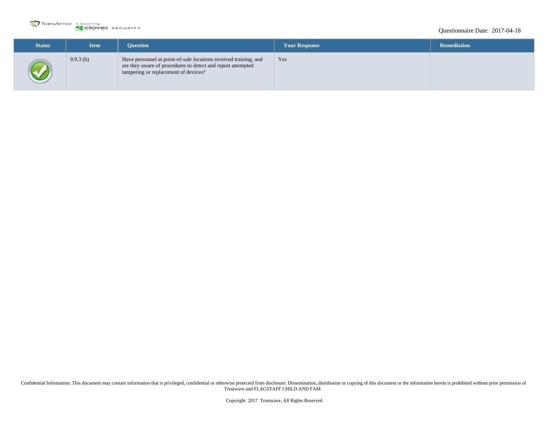

## Questionnaire Date: 2017-04-18

| <b>Status</b> | <b>Item</b> | <b>Ouestion</b>                                                                                                                                                         | <b>Your Response</b> | <b>Remediation</b> |
|---------------|-------------|-------------------------------------------------------------------------------------------------------------------------------------------------------------------------|----------------------|--------------------|
|               | 9.9.3(b)    | Have personnel at point-of-sale locations received training, and<br>are they aware of procedures to detect and report attempted<br>tampering or replacement of devices? | Yes                  |                    |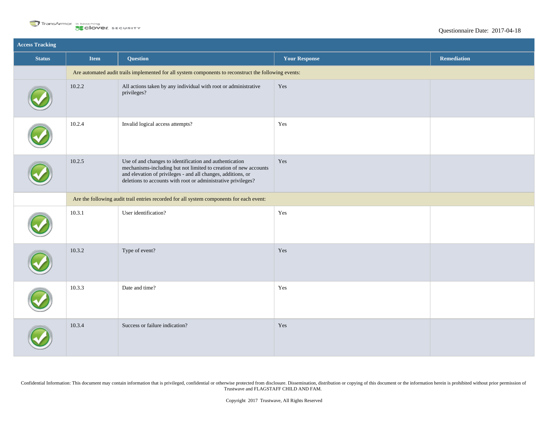

| <b>Access Tracking</b> |             |                                                                                                                                                                                                                                                              |                      |                    |
|------------------------|-------------|--------------------------------------------------------------------------------------------------------------------------------------------------------------------------------------------------------------------------------------------------------------|----------------------|--------------------|
| <b>Status</b>          | <b>Item</b> | <b>Question</b>                                                                                                                                                                                                                                              | <b>Your Response</b> | <b>Remediation</b> |
|                        |             | Are automated audit trails implemented for all system components to reconstruct the following events:                                                                                                                                                        |                      |                    |
|                        | 10.2.2      | All actions taken by any individual with root or administrative<br>privileges?                                                                                                                                                                               | Yes                  |                    |
|                        | 10.2.4      | Invalid logical access attempts?                                                                                                                                                                                                                             | Yes                  |                    |
|                        | 10.2.5      | Use of and changes to identification and authentication<br>mechanisms-including but not limited to creation of new accounts<br>and elevation of privileges - and all changes, additions, or<br>deletions to accounts with root or administrative privileges? | Yes                  |                    |
|                        |             | Are the following audit trail entries recorded for all system components for each event:                                                                                                                                                                     |                      |                    |
|                        | 10.3.1      | User identification?                                                                                                                                                                                                                                         | Yes                  |                    |
|                        | 10.3.2      | Type of event?                                                                                                                                                                                                                                               | Yes                  |                    |
|                        | 10.3.3      | Date and time?                                                                                                                                                                                                                                               | Yes                  |                    |
|                        | 10.3.4      | Success or failure indication?                                                                                                                                                                                                                               | $\operatorname{Yes}$ |                    |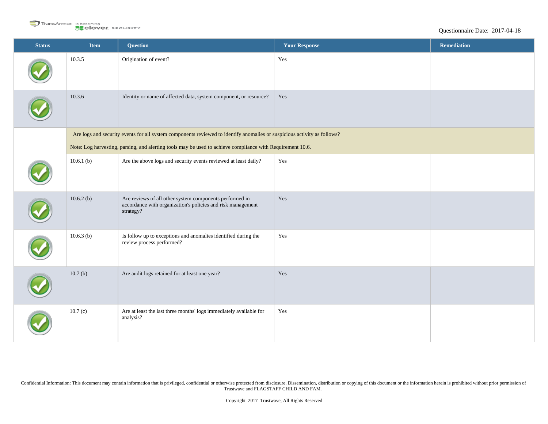

```
Questionnaire Date: 2017-04-18
```

| <b>Status</b> | <b>Item</b>  | <b>Question</b>                                                                                                                     | <b>Your Response</b> | Remediation |
|---------------|--------------|-------------------------------------------------------------------------------------------------------------------------------------|----------------------|-------------|
|               | 10.3.5       | Origination of event?                                                                                                               | Yes                  |             |
|               | 10.3.6       | Identity or name of affected data, system component, or resource?                                                                   | Yes                  |             |
|               |              | Are logs and security events for all system components reviewed to identify anomalies or suspicious activity as follows?            |                      |             |
|               |              | Note: Log harvesting, parsing, and alerting tools may be used to achieve compliance with Requirement 10.6.                          |                      |             |
|               | 10.6.1(b)    | Are the above logs and security events reviewed at least daily?                                                                     | Yes                  |             |
|               | 10.6.2(b)    | Are reviews of all other system components performed in<br>accordance with organization's policies and risk management<br>strategy? | Yes                  |             |
|               | $10.6.3$ (b) | Is follow up to exceptions and anomalies identified during the<br>review process performed?                                         | Yes                  |             |
|               | 10.7(b)      | Are audit logs retained for at least one year?                                                                                      | Yes                  |             |
|               | 10.7(c)      | Are at least the last three months' logs immediately available for<br>analysis?                                                     | Yes                  |             |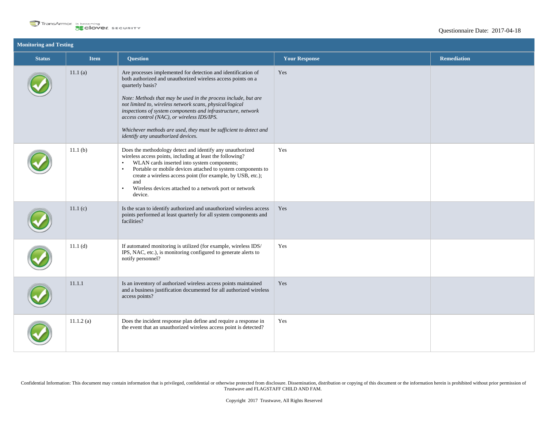

| <b>Monitoring and Testing</b> |                     |                                                                                                                                                                                                                                                                                                                                                                                                                                                                                                          |                      |                    |  |
|-------------------------------|---------------------|----------------------------------------------------------------------------------------------------------------------------------------------------------------------------------------------------------------------------------------------------------------------------------------------------------------------------------------------------------------------------------------------------------------------------------------------------------------------------------------------------------|----------------------|--------------------|--|
| <b>Status</b>                 | <b>Item</b>         | <b>Question</b>                                                                                                                                                                                                                                                                                                                                                                                                                                                                                          | <b>Your Response</b> | <b>Remediation</b> |  |
|                               | 11.1(a)             | Are processes implemented for detection and identification of<br>both authorized and unauthorized wireless access points on a<br>quarterly basis?<br>Note: Methods that may be used in the process include, but are<br>not limited to, wireless network scans, physical/logical<br>inspections of system components and infrastructure, network<br>access control (NAC), or wireless IDS/IPS.<br>Whichever methods are used, they must be sufficient to detect and<br>identify any unauthorized devices. | Yes                  |                    |  |
|                               | 11.1 <sub>(b)</sub> | Does the methodology detect and identify any unauthorized<br>wireless access points, including at least the following?<br>WLAN cards inserted into system components;<br>$\bullet$<br>Portable or mobile devices attached to system components to<br>$\bullet$<br>create a wireless access point (for example, by USB, etc.);<br>and<br>Wireless devices attached to a network port or network<br>$\bullet$<br>device.                                                                                   | Yes                  |                    |  |
|                               | 11.1(c)             | Is the scan to identify authorized and unauthorized wireless access<br>points performed at least quarterly for all system components and<br>facilities?                                                                                                                                                                                                                                                                                                                                                  | Yes                  |                    |  |
|                               | 11.1(d)             | If automated monitoring is utilized (for example, wireless IDS/<br>IPS, NAC, etc.), is monitoring configured to generate alerts to<br>notify personnel?                                                                                                                                                                                                                                                                                                                                                  | Yes                  |                    |  |
|                               | 11.1.1              | Is an inventory of authorized wireless access points maintained<br>and a business justification documented for all authorized wireless<br>access points?                                                                                                                                                                                                                                                                                                                                                 | Yes                  |                    |  |
|                               | 11.1.2(a)           | Does the incident response plan define and require a response in<br>the event that an unauthorized wireless access point is detected?                                                                                                                                                                                                                                                                                                                                                                    | Yes                  |                    |  |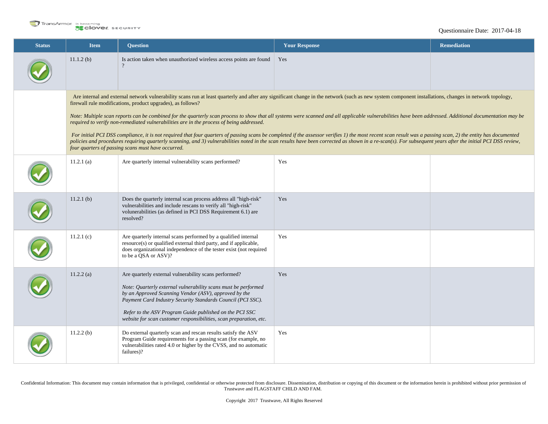

### Questionnaire Date: 2017-04-18

| <b>Status</b> | <b>Item</b>  | <b>Question</b>                                                                                                                                                                                                                                                                                                                                                                                                                                                                                                                                                               | <b>Your Response</b> | <b>Remediation</b> |
|---------------|--------------|-------------------------------------------------------------------------------------------------------------------------------------------------------------------------------------------------------------------------------------------------------------------------------------------------------------------------------------------------------------------------------------------------------------------------------------------------------------------------------------------------------------------------------------------------------------------------------|----------------------|--------------------|
|               | $11.1.2$ (b) | Is action taken when unauthorized wireless access points are found                                                                                                                                                                                                                                                                                                                                                                                                                                                                                                            | Yes                  |                    |
|               |              | Are internal and external network vulnerability scans run at least quarterly and after any significant change in the network (such as new system component installations, changes in network topology,<br>firewall rule modifications, product upgrades), as follows?<br>Note: Multiple scan reports can be combined for the quarterly scan process to show that all systems were scanned and all applicable vulnerabilities have been addressed. Additional documentation may be<br>required to verify non-remediated vulnerabilities are in the process of being addressed. |                      |                    |
|               |              | For initial PCI DSS compliance, it is not required that four quarters of passing scans be completed if the assessor verifies 1) the most recent scan result was a passing scan, 2) the entity has documented<br>policies and procedures requiring quarterly scanning, and 3) vulnerabilities noted in the scan results have been corrected as shown in a re-scan(s). For subsequent years after the initial PCI DSS review,<br>four quarters of passing scans must have occurred.                                                                                             |                      |                    |
|               | $11.2.1$ (a) | Are quarterly internal vulnerability scans performed?                                                                                                                                                                                                                                                                                                                                                                                                                                                                                                                         | Yes                  |                    |
|               | $11.2.1$ (b) | Does the quarterly internal scan process address all "high-risk"<br>vulnerabilities and include rescans to verify all "high-risk"<br>volunerabilities (as defined in PCI DSS Requirement 6.1) are<br>resolved?                                                                                                                                                                                                                                                                                                                                                                | Yes                  |                    |
|               | 11.2.1(c)    | Are quarterly internal scans performed by a qualified internal<br>resource(s) or qualified external third party, and if applicable,<br>does organizational independence of the tester exist (not required<br>to be a QSA or ASV)?                                                                                                                                                                                                                                                                                                                                             | Yes                  |                    |
|               | 11.2.2(a)    | Are quarterly external vulnerability scans performed?<br>Note: Quarterly external vulnerability scans must be performed<br>by an Approved Scanning Vendor (ASV), approved by the<br>Payment Card Industry Security Standards Council (PCI SSC).<br>Refer to the ASV Program Guide published on the PCI SSC<br>website for scan customer responsibilities, scan preparation, etc.                                                                                                                                                                                              | Yes                  |                    |
|               | $11.2.2$ (b) | Do external quarterly scan and rescan results satisfy the ASV<br>Program Guide requirements for a passing scan (for example, no<br>vulnerabilities rated 4.0 or higher by the CVSS, and no automatic<br>failures)?                                                                                                                                                                                                                                                                                                                                                            | Yes                  |                    |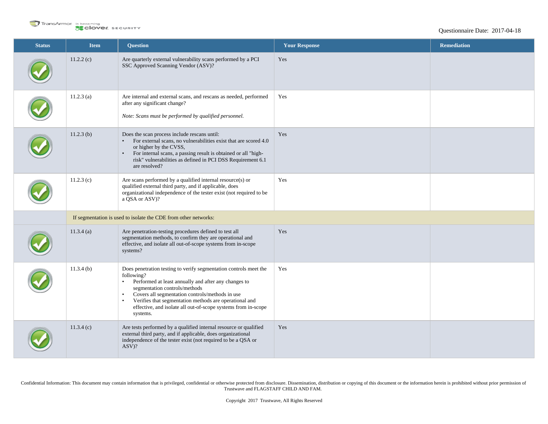

| <b>Status</b> | <b>Item</b>  | <b>Question</b>                                                                                                                                                                                                                                                                                                                                                                                           | <b>Your Response</b> | <b>Remediation</b> |
|---------------|--------------|-----------------------------------------------------------------------------------------------------------------------------------------------------------------------------------------------------------------------------------------------------------------------------------------------------------------------------------------------------------------------------------------------------------|----------------------|--------------------|
|               | 11.2.2(c)    | Are quarterly external vulnerability scans performed by a PCI<br>SSC Approved Scanning Vendor (ASV)?                                                                                                                                                                                                                                                                                                      | Yes                  |                    |
|               | $11.2.3$ (a) | Are internal and external scans, and rescans as needed, performed<br>after any significant change?<br>Note: Scans must be performed by qualified personnel.                                                                                                                                                                                                                                               | Yes                  |                    |
|               | $11.2.3$ (b) | Does the scan process include rescans until:<br>For external scans, no vulnerabilities exist that are scored 4.0<br>$\bullet$<br>or higher by the CVSS,<br>For internal scans, a passing result is obtained or all "high-<br>$\bullet$<br>risk" vulnerabilities as defined in PCI DSS Requirement 6.1<br>are resolved?                                                                                    | Yes                  |                    |
|               | 11.2.3(c)    | Are scans performed by a qualified internal resource(s) or<br>qualified external third party, and if applicable, does<br>organizational independence of the tester exist (not required to be<br>a QSA or ASV)?                                                                                                                                                                                            | Yes                  |                    |
|               |              | If segmentation is used to isolate the CDE from other networks:                                                                                                                                                                                                                                                                                                                                           |                      |                    |
|               | 11.3.4(a)    | Are penetration-testing procedures defined to test all<br>segmentation methods, to confirm they are operational and<br>effective, and isolate all out-of-scope systems from in-scope<br>systems?                                                                                                                                                                                                          | Yes                  |                    |
|               | $11.3.4$ (b) | Does penetration testing to verify segmentation controls meet the<br>following?<br>Performed at least annually and after any changes to<br>$\bullet$<br>segmentation controls/methods<br>Covers all segmentation controls/methods in use<br>$\bullet$<br>Verifies that segmentation methods are operational and<br>$\bullet$<br>effective, and isolate all out-of-scope systems from in-scope<br>systems. | Yes                  |                    |
|               | 11.3.4(c)    | Are tests performed by a qualified internal resource or qualified<br>external third party, and if applicable, does organizational<br>independence of the tester exist (not required to be a QSA or<br>$ASV$ ?                                                                                                                                                                                             | Yes                  |                    |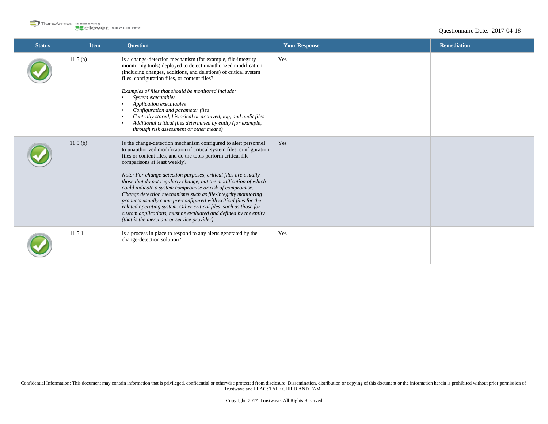

| <b>Status</b> | <b>Item</b> | <b>Ouestion</b>                                                                                                                                                                                                                                                                                                                                                                                                                                                                                                                                                                                                                                                                                                                                                             | <b>Your Response</b> | <b>Remediation</b> |
|---------------|-------------|-----------------------------------------------------------------------------------------------------------------------------------------------------------------------------------------------------------------------------------------------------------------------------------------------------------------------------------------------------------------------------------------------------------------------------------------------------------------------------------------------------------------------------------------------------------------------------------------------------------------------------------------------------------------------------------------------------------------------------------------------------------------------------|----------------------|--------------------|
|               | 11.5(a)     | Is a change-detection mechanism (for example, file-integrity<br>monitoring tools) deployed to detect unauthorized modification<br>(including changes, additions, and deletions) of critical system<br>files, configuration files, or content files?<br>Examples of files that should be monitored include:<br>System executables<br>Application executables<br>Configuration and parameter files<br>Centrally stored, historical or archived, log, and audit files<br>Additional critical files determined by entity (for example,<br>through risk assessment or other means)                                                                                                                                                                                               | Yes                  |                    |
|               | 11.5(b)     | Is the change-detection mechanism configured to alert personnel<br>to unauthorized modification of critical system files, configuration<br>files or content files, and do the tools perform critical file<br>comparisons at least weekly?<br>Note: For change detection purposes, critical files are usually<br>those that do not regularly change, but the modification of which<br>could indicate a system compromise or risk of compromise.<br>Change detection mechanisms such as file-integrity monitoring<br>products usually come pre-configured with critical files for the<br>related operating system. Other critical files, such as those for<br>custom applications, must be evaluated and defined by the entity<br>(that is the merchant or service provider). | Yes                  |                    |
|               | 11.5.1      | Is a process in place to respond to any alerts generated by the<br>change-detection solution?                                                                                                                                                                                                                                                                                                                                                                                                                                                                                                                                                                                                                                                                               | Yes                  |                    |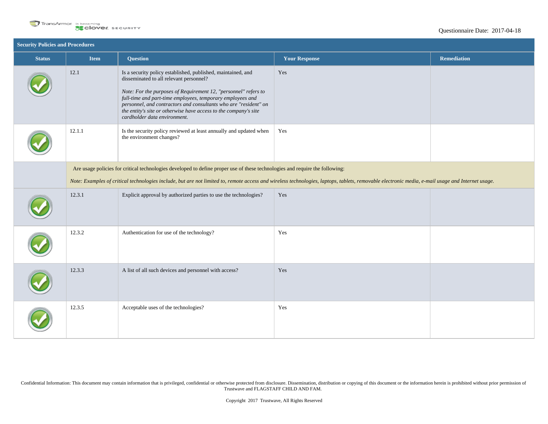

| <b>Security Policies and Procedures</b> |                                                                                                                                                                                                  |                                                                                                                                                                                                                                                                                                                                                                                                                  |                      |                    |
|-----------------------------------------|--------------------------------------------------------------------------------------------------------------------------------------------------------------------------------------------------|------------------------------------------------------------------------------------------------------------------------------------------------------------------------------------------------------------------------------------------------------------------------------------------------------------------------------------------------------------------------------------------------------------------|----------------------|--------------------|
| <b>Status</b>                           | <b>Item</b>                                                                                                                                                                                      | <b>Question</b>                                                                                                                                                                                                                                                                                                                                                                                                  | <b>Your Response</b> | <b>Remediation</b> |
|                                         | 12.1                                                                                                                                                                                             | Is a security policy established, published, maintained, and<br>disseminated to all relevant personnel?<br>Note: For the purposes of Requirement 12, "personnel" refers to<br>full-time and part-time employees, temporary employees and<br>personnel, and contractors and consultants who are "resident" on<br>the entity's site or otherwise have access to the company's site<br>cardholder data environment. | Yes                  |                    |
|                                         | 12.1.1                                                                                                                                                                                           | Is the security policy reviewed at least annually and updated when<br>the environment changes?                                                                                                                                                                                                                                                                                                                   | Yes                  |                    |
|                                         | Are usage policies for critical technologies developed to define proper use of these technologies and require the following:                                                                     |                                                                                                                                                                                                                                                                                                                                                                                                                  |                      |                    |
|                                         | Note: Examples of critical technologies include, but are not limited to, remote access and wireless technologies, laptops, tablets, removable electronic media, e-mail usage and Internet usage. |                                                                                                                                                                                                                                                                                                                                                                                                                  |                      |                    |
|                                         | 12.3.1                                                                                                                                                                                           | Explicit approval by authorized parties to use the technologies?                                                                                                                                                                                                                                                                                                                                                 | Yes                  |                    |
|                                         | 12.3.2                                                                                                                                                                                           | Authentication for use of the technology?                                                                                                                                                                                                                                                                                                                                                                        | Yes                  |                    |
|                                         | 12.3.3                                                                                                                                                                                           | A list of all such devices and personnel with access?                                                                                                                                                                                                                                                                                                                                                            | Yes                  |                    |
|                                         | 12.3.5                                                                                                                                                                                           | Acceptable uses of the technologies?                                                                                                                                                                                                                                                                                                                                                                             | Yes                  |                    |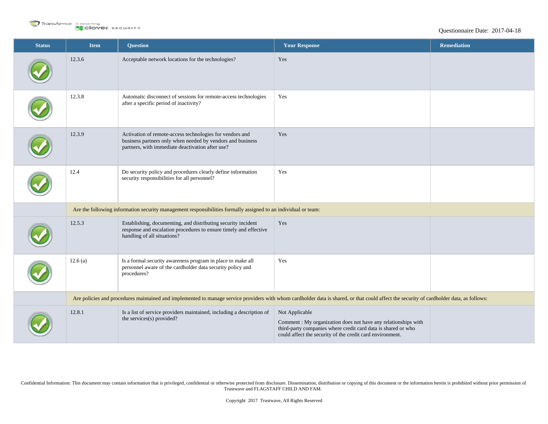

| <b>Status</b> | <b>Item</b>                                                                                                    | <b>Question</b>                                                                                                                                                                           | <b>Your Response</b>                                                                                                                                                                                           | <b>Remediation</b> |
|---------------|----------------------------------------------------------------------------------------------------------------|-------------------------------------------------------------------------------------------------------------------------------------------------------------------------------------------|----------------------------------------------------------------------------------------------------------------------------------------------------------------------------------------------------------------|--------------------|
|               | 12.3.6                                                                                                         | Acceptable network locations for the technologies?                                                                                                                                        | Yes                                                                                                                                                                                                            |                    |
|               | 12.3.8                                                                                                         | Automatic disconnect of sessions for remote-access technologies<br>after a specific period of inactivity?                                                                                 | Yes                                                                                                                                                                                                            |                    |
|               | 12.3.9                                                                                                         | Activation of remote-access technologies for vendors and<br>business partners only when needed by vendors and business<br>partners, with immediate deactivation after use?                | Yes                                                                                                                                                                                                            |                    |
|               | 12.4                                                                                                           | Do security policy and procedures clearly define information<br>security responsibilities for all personnel?                                                                              | Yes                                                                                                                                                                                                            |                    |
|               | Are the following information security management responsibilities formally assigned to an individual or team: |                                                                                                                                                                                           |                                                                                                                                                                                                                |                    |
|               | 12.5.3                                                                                                         | Establishing, documenting, and distributing security incident<br>response and escalation procedures to ensure timely and effective<br>handling of all situations?                         | Yes                                                                                                                                                                                                            |                    |
|               | 12.6(a)                                                                                                        | Is a formal security awareness program in place to make all<br>personnel aware of the cardholder data security policy and<br>procedures?                                                  | Yes                                                                                                                                                                                                            |                    |
|               |                                                                                                                | Are policies and procedures maintained and implemented to manage service providers with whom cardholder data is shared, or that could affect the security of cardholder data, as follows: |                                                                                                                                                                                                                |                    |
|               | 12.8.1                                                                                                         | Is a list of service providers maintained, including a description of<br>the services(s) provided?                                                                                        | Not Applicable<br>Comment : My organization does not have any relationships with<br>third-party companies where credit card data is shared or who<br>could affect the security of the credit card environment. |                    |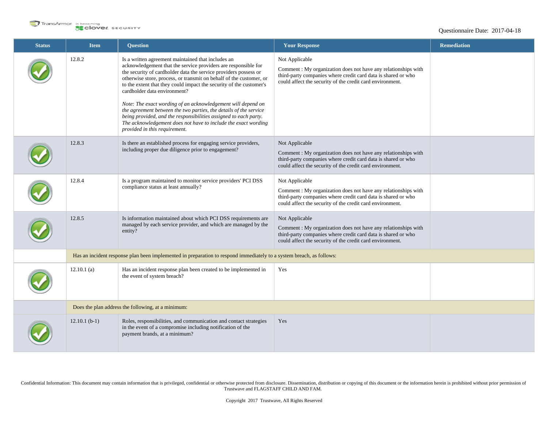

### Questionnaire Date: 2017-04-18

| <b>Status</b> | <b>Item</b>     | <b>Question</b>                                                                                                                                                                                                                                                                                                                                                                                                                                                                                                                                                                                                                                                                    | <b>Your Response</b>                                                                                                                                                                                          | <b>Remediation</b> |  |  |
|---------------|-----------------|------------------------------------------------------------------------------------------------------------------------------------------------------------------------------------------------------------------------------------------------------------------------------------------------------------------------------------------------------------------------------------------------------------------------------------------------------------------------------------------------------------------------------------------------------------------------------------------------------------------------------------------------------------------------------------|---------------------------------------------------------------------------------------------------------------------------------------------------------------------------------------------------------------|--------------------|--|--|
|               | 12.8.2          | Is a written agreement maintained that includes an<br>acknowledgement that the service providers are responsible for<br>the security of cardholder data the service providers possess or<br>otherwise store, process, or transmit on behalf of the customer, or<br>to the extent that they could impact the security of the customer's<br>cardholder data environment?<br>Note: The exact wording of an acknowledgement will depend on<br>the agreement between the two parties, the details of the service<br>being provided, and the responsibilities assigned to each party.<br>The acknowledgement does not have to include the exact wording<br>provided in this requirement. | Not Applicable<br>Comment: My organization does not have any relationships with<br>third-party companies where credit card data is shared or who<br>could affect the security of the credit card environment. |                    |  |  |
|               | 12.8.3          | Is there an established process for engaging service providers,<br>including proper due diligence prior to engagement?                                                                                                                                                                                                                                                                                                                                                                                                                                                                                                                                                             | Not Applicable<br>Comment: My organization does not have any relationships with<br>third-party companies where credit card data is shared or who<br>could affect the security of the credit card environment. |                    |  |  |
|               | 12.8.4          | Is a program maintained to monitor service providers' PCI DSS<br>compliance status at least annually?                                                                                                                                                                                                                                                                                                                                                                                                                                                                                                                                                                              | Not Applicable<br>Comment: My organization does not have any relationships with<br>third-party companies where credit card data is shared or who<br>could affect the security of the credit card environment. |                    |  |  |
|               | 12.8.5          | Is information maintained about which PCI DSS requirements are<br>managed by each service provider, and which are managed by the<br>entity?                                                                                                                                                                                                                                                                                                                                                                                                                                                                                                                                        | Not Applicable<br>Comment: My organization does not have any relationships with<br>third-party companies where credit card data is shared or who<br>could affect the security of the credit card environment. |                    |  |  |
|               |                 | Has an incident response plan been implemented in preparation to respond immediately to a system breach, as follows:                                                                                                                                                                                                                                                                                                                                                                                                                                                                                                                                                               |                                                                                                                                                                                                               |                    |  |  |
|               | $12.10.1$ (a)   | Has an incident response plan been created to be implemented in<br>the event of system breach?                                                                                                                                                                                                                                                                                                                                                                                                                                                                                                                                                                                     | Yes                                                                                                                                                                                                           |                    |  |  |
|               |                 | Does the plan address the following, at a minimum:                                                                                                                                                                                                                                                                                                                                                                                                                                                                                                                                                                                                                                 |                                                                                                                                                                                                               |                    |  |  |
|               | $12.10.1$ (b-1) | Roles, responsibilities, and communication and contact strategies<br>in the event of a compromise including notification of the<br>payment brands, at a minimum?                                                                                                                                                                                                                                                                                                                                                                                                                                                                                                                   | Yes                                                                                                                                                                                                           |                    |  |  |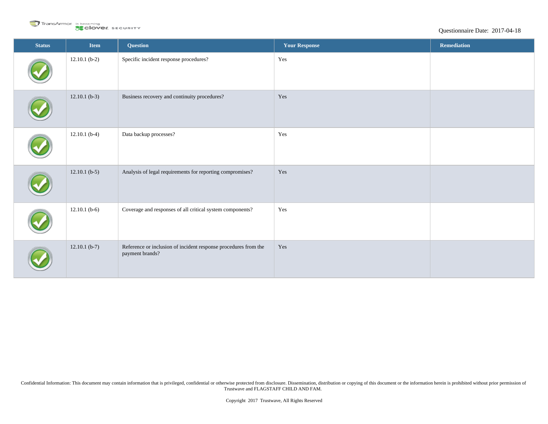

| <b>Status</b> | Item            | <b>Question</b>                                                                    | <b>Your Response</b> | Remediation |
|---------------|-----------------|------------------------------------------------------------------------------------|----------------------|-------------|
|               | $12.10.1$ (b-2) | Specific incident response procedures?                                             | Yes                  |             |
|               | $12.10.1$ (b-3) | Business recovery and continuity procedures?                                       | Yes                  |             |
|               | $12.10.1$ (b-4) | Data backup processes?                                                             | Yes                  |             |
|               | $12.10.1$ (b-5) | Analysis of legal requirements for reporting compromises?                          | Yes                  |             |
|               | $12.10.1$ (b-6) | Coverage and responses of all critical system components?                          | Yes                  |             |
|               | $12.10.1$ (b-7) | Reference or inclusion of incident response procedures from the<br>payment brands? | Yes                  |             |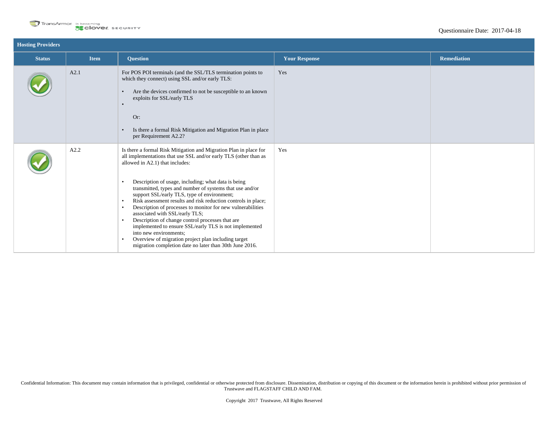

| <b>Hosting Providers</b> |             |                                                                                                                                                                                                                                                                                                                                                                                                                                                                                                                                                                                                                                                                                                                                                                                                                                         |                      |                    |  |
|--------------------------|-------------|-----------------------------------------------------------------------------------------------------------------------------------------------------------------------------------------------------------------------------------------------------------------------------------------------------------------------------------------------------------------------------------------------------------------------------------------------------------------------------------------------------------------------------------------------------------------------------------------------------------------------------------------------------------------------------------------------------------------------------------------------------------------------------------------------------------------------------------------|----------------------|--------------------|--|
| <b>Status</b>            | <b>Item</b> | <b>Question</b>                                                                                                                                                                                                                                                                                                                                                                                                                                                                                                                                                                                                                                                                                                                                                                                                                         | <b>Your Response</b> | <b>Remediation</b> |  |
|                          | A2.1        | For POS POI terminals (and the SSL/TLS termination points to<br>which they connect) using SSL and/or early TLS:<br>Are the devices confirmed to not be susceptible to an known<br>$\bullet$<br>exploits for SSL/early TLS<br>Or:<br>Is there a formal Risk Mitigation and Migration Plan in place<br>$\bullet$<br>per Requirement A2.2?                                                                                                                                                                                                                                                                                                                                                                                                                                                                                                 | Yes                  |                    |  |
|                          | A2.2        | Is there a formal Risk Mitigation and Migration Plan in place for<br>all implementations that use SSL and/or early TLS (other than as<br>allowed in A2.1) that includes:<br>Description of usage, including; what data is being<br>$\bullet$<br>transmitted, types and number of systems that use and/or<br>support SSL/early TLS, type of environment;<br>Risk assessment results and risk reduction controls in place;<br>$\bullet$<br>Description of processes to monitor for new vulnerabilities<br>$\bullet$<br>associated with SSL/early TLS;<br>Description of change control processes that are<br>$\bullet$<br>implemented to ensure SSL/early TLS is not implemented<br>into new environments;<br>Overview of migration project plan including target<br>$\bullet$<br>migration completion date no later than 30th June 2016. | Yes                  |                    |  |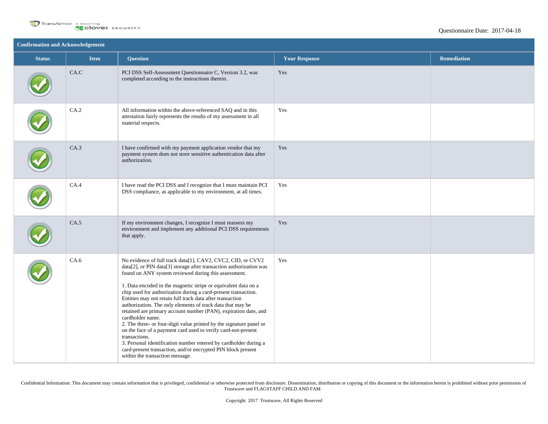

| <b>Confirmation and Acknowledgement</b> |             |                                                                                                                                                                                                                                                                                                                                                                                                                                                                                                                                                                                                                                                                                                                                                                                                                                                                                  |                      |                    |  |
|-----------------------------------------|-------------|----------------------------------------------------------------------------------------------------------------------------------------------------------------------------------------------------------------------------------------------------------------------------------------------------------------------------------------------------------------------------------------------------------------------------------------------------------------------------------------------------------------------------------------------------------------------------------------------------------------------------------------------------------------------------------------------------------------------------------------------------------------------------------------------------------------------------------------------------------------------------------|----------------------|--------------------|--|
| <b>Status</b>                           | <b>Item</b> | <b>Question</b>                                                                                                                                                                                                                                                                                                                                                                                                                                                                                                                                                                                                                                                                                                                                                                                                                                                                  | <b>Your Response</b> | <b>Remediation</b> |  |
|                                         | CA.C        | PCI DSS Self-Assessment Questionnaire C, Version 3.2, was<br>completed according to the instructions therein.                                                                                                                                                                                                                                                                                                                                                                                                                                                                                                                                                                                                                                                                                                                                                                    | Yes                  |                    |  |
|                                         | CA.2        | All information within the above-referenced SAQ and in this<br>attestation fairly represents the results of my assessment in all<br>material respects.                                                                                                                                                                                                                                                                                                                                                                                                                                                                                                                                                                                                                                                                                                                           | Yes                  |                    |  |
|                                         | CA.3        | I have confirmed with my payment application vendor that my<br>payment system does not store sensitive authentication data after<br>authorization.                                                                                                                                                                                                                                                                                                                                                                                                                                                                                                                                                                                                                                                                                                                               | Yes                  |                    |  |
|                                         | CA.4        | I have read the PCI DSS and I recognize that I must maintain PCI<br>DSS compliance, as applicable to my environment, at all times.                                                                                                                                                                                                                                                                                                                                                                                                                                                                                                                                                                                                                                                                                                                                               | Yes                  |                    |  |
|                                         | CA.5        | If my environment changes, I recognize I must reassess my<br>environment and implement any additional PCI DSS requirements<br>that apply.                                                                                                                                                                                                                                                                                                                                                                                                                                                                                                                                                                                                                                                                                                                                        | Yes                  |                    |  |
|                                         | CA.6        | No evidence of full track data[1], CAV2, CVC2, CID, or CVV2<br>data[2], or PIN data[3] storage after transaction authorization was<br>found on ANY system reviewed during this assessment.<br>1. Data encoded in the magnetic stripe or equivalent data on a<br>chip used for authorization during a card-present transaction.<br>Entities may not retain full track data after transaction<br>authorization. The only elements of track data that may be<br>retained are primary account number (PAN), expiration date, and<br>cardholder name.<br>2. The three- or four-digit value printed by the signature panel or<br>on the face of a payment card used to verify card-not-present<br>transactions.<br>3. Personal identification number entered by cardholder during a<br>card-present transaction, and/or encrypted PIN block present<br>within the transaction message. | Yes                  |                    |  |